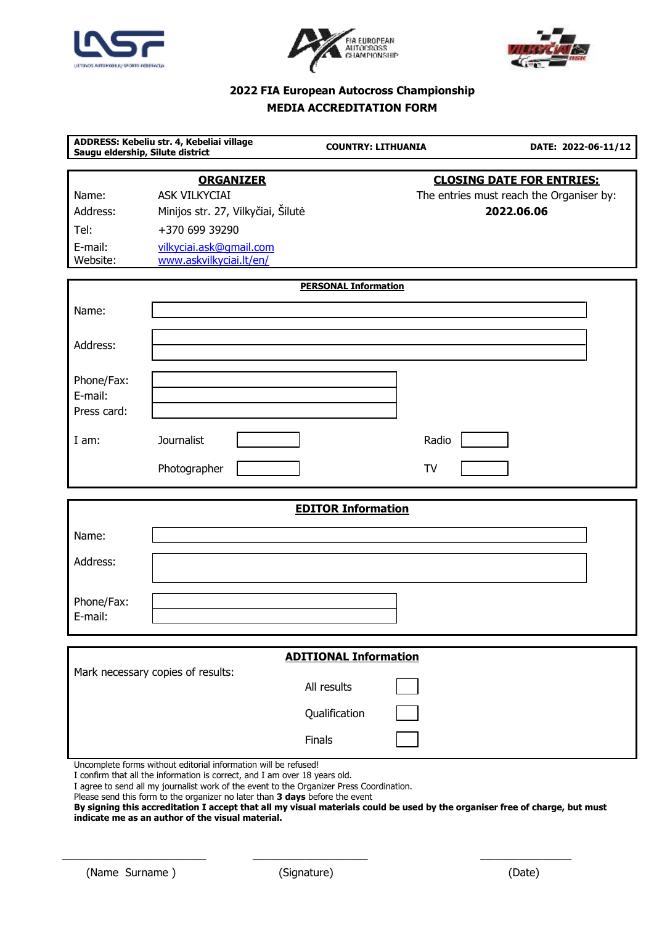





# **2022 FIA European Autocross Championship MEDIA ACCREDITATION FORM**

| ADDRESS: Kebeliu str. 4, Kebeliai village<br>Saugu eldership, Silute district                                                                                                                                                            |                                                                                                  | <b>COUNTRY: LITHUANIA</b> |           | DATE: 2022-06-11/12                                                                        |
|------------------------------------------------------------------------------------------------------------------------------------------------------------------------------------------------------------------------------------------|--------------------------------------------------------------------------------------------------|---------------------------|-----------|--------------------------------------------------------------------------------------------|
| Name:<br>Address:<br>Tel:                                                                                                                                                                                                                | <b>ORGANIZER</b><br><b>ASK VILKYCIAI</b><br>Minijos str. 27, Vilkyčiai, Šilutė<br>+370 699 39290 |                           |           | <b>CLOSING DATE FOR ENTRIES:</b><br>The entries must reach the Organiser by:<br>2022.06.06 |
| E-mail:<br>Website:                                                                                                                                                                                                                      | vilkyciai.ask@gmail.com<br>www.askvilkyciai.lt/en/                                               |                           |           |                                                                                            |
| <b>PERSONAL Information</b>                                                                                                                                                                                                              |                                                                                                  |                           |           |                                                                                            |
| Name:                                                                                                                                                                                                                                    |                                                                                                  |                           |           |                                                                                            |
| Address:                                                                                                                                                                                                                                 |                                                                                                  |                           |           |                                                                                            |
| Phone/Fax:<br>E-mail:<br>Press card:                                                                                                                                                                                                     |                                                                                                  |                           |           |                                                                                            |
| I am:                                                                                                                                                                                                                                    | Journalist                                                                                       |                           | Radio     |                                                                                            |
|                                                                                                                                                                                                                                          | Photographer                                                                                     |                           | <b>TV</b> |                                                                                            |
| <b>EDITOR Information</b>                                                                                                                                                                                                                |                                                                                                  |                           |           |                                                                                            |
| Name:                                                                                                                                                                                                                                    |                                                                                                  |                           |           |                                                                                            |
| Address:                                                                                                                                                                                                                                 |                                                                                                  |                           |           |                                                                                            |
| Phone/Fax:<br>E-mail:                                                                                                                                                                                                                    |                                                                                                  |                           |           |                                                                                            |
| <b>ADITIONAL Information</b>                                                                                                                                                                                                             |                                                                                                  |                           |           |                                                                                            |
| Mark necessary copies of results:<br>All results                                                                                                                                                                                         |                                                                                                  |                           |           |                                                                                            |
|                                                                                                                                                                                                                                          |                                                                                                  | Qualification             |           |                                                                                            |
|                                                                                                                                                                                                                                          |                                                                                                  | Finals                    |           |                                                                                            |
| Uncomplete forms without editorial information will be refused!<br>I confirm that all the information is correct, and I am over 18 years old.<br>I agree to send all my journalist work of the event to the Organizer Press Coordination |                                                                                                  |                           |           |                                                                                            |

agree to send all my journalist work of the event to the Organizer Press Coordination.

Please send this form to the organizer no later than **3 days** before the event

**By signing this accreditation I accept that all my visual materials could be used by the organiser free of charge, but must indicate me as an author of the visual material.**

\_\_\_\_\_\_\_\_\_\_\_\_\_\_\_\_\_\_\_\_\_\_\_\_\_\_\_\_\_\_ \_\_\_\_\_\_\_\_\_\_\_\_\_\_\_\_\_\_\_\_\_\_\_\_ \_\_\_\_\_\_\_\_\_\_\_\_\_\_\_\_\_\_\_